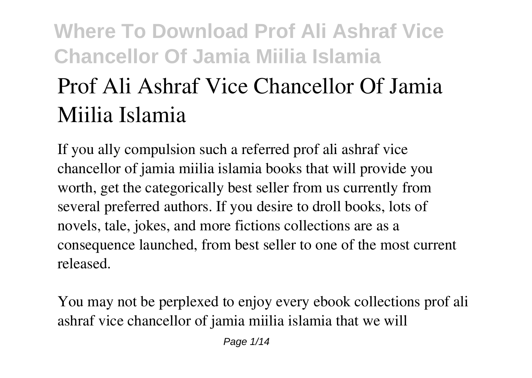## **Where To Download Prof Ali Ashraf Vice Chancellor Of Jamia Miilia Islamia Prof Ali Ashraf Vice Chancellor Of Jamia Miilia Islamia**

If you ally compulsion such a referred **prof ali ashraf vice chancellor of jamia miilia islamia** books that will provide you worth, get the categorically best seller from us currently from several preferred authors. If you desire to droll books, lots of novels, tale, jokes, and more fictions collections are as a consequence launched, from best seller to one of the most current released.

You may not be perplexed to enjoy every ebook collections prof ali ashraf vice chancellor of jamia miilia islamia that we will

Page 1/14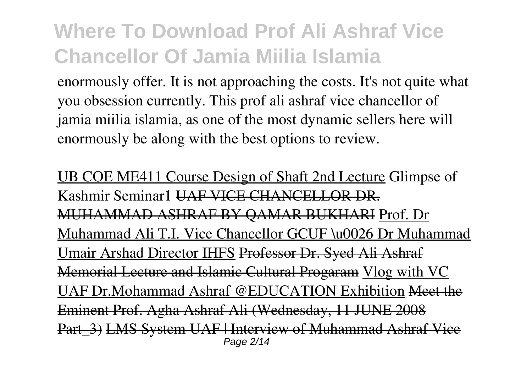enormously offer. It is not approaching the costs. It's not quite what you obsession currently. This prof ali ashraf vice chancellor of jamia miilia islamia, as one of the most dynamic sellers here will enormously be along with the best options to review.

UB COE ME411 Course Design of Shaft 2nd Lecture **Glimpse of Kashmir Seminar1** UAF VICE CHANCELLOR DR. MUHAMMAD ASHRAF BY QAMAR BUKHARI Prof. Dr Muhammad Ali T.I. Vice Chancellor GCUF \u0026 Dr Muhammad Umair Arshad Director IHFS Professor Dr. Syed Ali Ashraf Memorial Lecture and Islamic Cultural Progaram Vlog with VC UAF Dr.Mohammad Ashraf @EDUCATION Exhibition Meet the Eminent Prof. Agha Ashraf Ali (Wednesday, 11 JUNE 2008 Part 3) LMS System UAF | Interview of Muhammad Ashraf Vice Page 2/14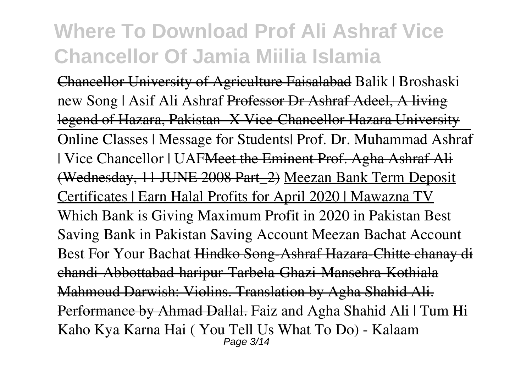Chancellor University of Agriculture Faisalabad **Balik | Broshaski new Song | Asif Ali Ashraf** Professor Dr Ashraf Adeel, A living legend of Hazara, Pakistan- X Vice-Chancellor Hazara University Online Classes | Message for Students| Prof. Dr. Muhammad Ashraf | Vice Chancellor | UAF<del>Meet the Eminent Prof. Agha Ashraf Ali</del> (Wednesday, 11 JUNE 2008 Part\_2) Meezan Bank Term Deposit Certificates | Earn Halal Profits for April 2020 | Mawazna TV *Which Bank is Giving Maximum Profit in 2020 in Pakistan Best Saving Bank in Pakistan Saving Account Meezan Bachat Account Best For Your Bachat* Hindko Song-Ashraf Hazara-Chitte chanay di chandi-Abbottabad-haripur-Tarbela-Ghazi-Mansehra-Kothiala Mahmoud Darwish: Violins. Translation by Agha Shahid Ali. Performance by Ahmad Dallal. *Faiz and Agha Shahid Ali | Tum Hi Kaho Kya Karna Hai ( You Tell Us What To Do) - Kalaam* Page 3/14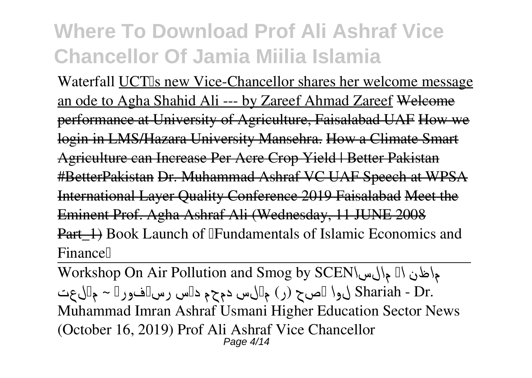Waterfall UCT<sub>Is</sub> new Vice-Chancellor shares her welcome message an ode to Agha Shahid Ali --- by Zareef Ahmad Zareef Welcome performance at University of Agriculture, Faisalabad UAF How we login in LMS/Hazara University Mansehra. How a Climate Smart Agriculture can Increase Per Acre Crop Yield | Better Pakistan #BetterPakistan Dr. Muhammad Ashraf VC UAF Speech at WPSA International Layer Quality Conference 2019 Faisalabad Meet the Eminent Prof. Agha Ashraf Ali (Wednesday, 11 JUNE 2008 Part 1) Book Launch of <sup>[</sup>Fundamentals of Islamic Economics and **Finance**<sup>[]</sup>

Workshop On Air Pollution and Smog by SCEN*مالسا اک ماظن .Dr - Shariah لوا ہصح (ر) میلس دمحم دیس رسیفورپ ~ میلعت Muhammad Imran Ashraf Usmani* **Higher Education Sector News (October 16, 2019) Prof Ali Ashraf Vice Chancellor** Page 4/14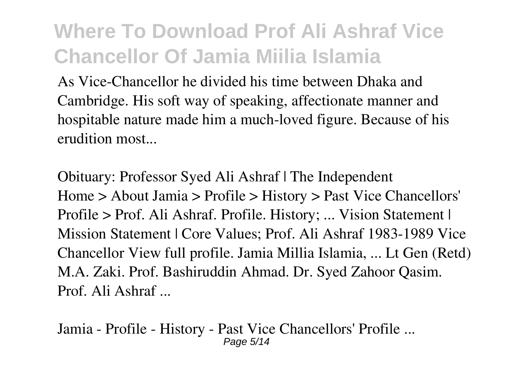As Vice-Chancellor he divided his time between Dhaka and Cambridge. His soft way of speaking, affectionate manner and hospitable nature made him a much-loved figure. Because of his erudition most...

**Obituary: Professor Syed Ali Ashraf | The Independent** Home > About Jamia > Profile > History > Past Vice Chancellors' Profile > Prof. Ali Ashraf. Profile. History; ... Vision Statement | Mission Statement | Core Values; Prof. Ali Ashraf 1983-1989 Vice Chancellor View full profile. Jamia Millia Islamia, ... Lt Gen (Retd) M.A. Zaki. Prof. Bashiruddin Ahmad. Dr. Syed Zahoor Qasim. Prof. Ali Ashraf ...

**Jamia - Profile - History - Past Vice Chancellors' Profile ...** Page 5/14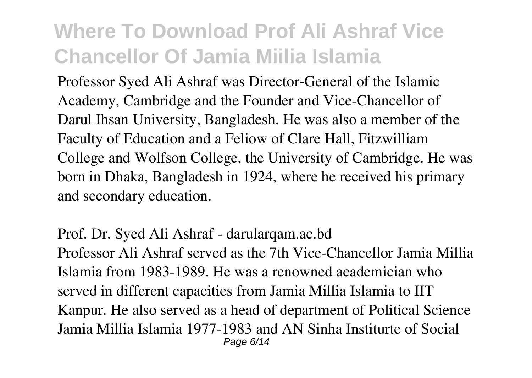Professor Syed Ali Ashraf was Director-General of the Islamic Academy, Cambridge and the Founder and Vice-Chancellor of Darul Ihsan University, Bangladesh. He was also a member of the Faculty of Education and a Feliow of Clare Hall, Fitzwilliam College and Wolfson College, the University of Cambridge. He was born in Dhaka, Bangladesh in 1924, where he received his primary and secondary education.

**Prof. Dr. Syed Ali Ashraf - darularqam.ac.bd** Professor Ali Ashraf served as the 7th Vice-Chancellor Jamia Millia Islamia from 1983-1989. He was a renowned academician who served in different capacities from Jamia Millia Islamia to IIT Kanpur. He also served as a head of department of Political Science Jamia Millia Islamia 1977-1983 and AN Sinha Institurte of Social Page 6/14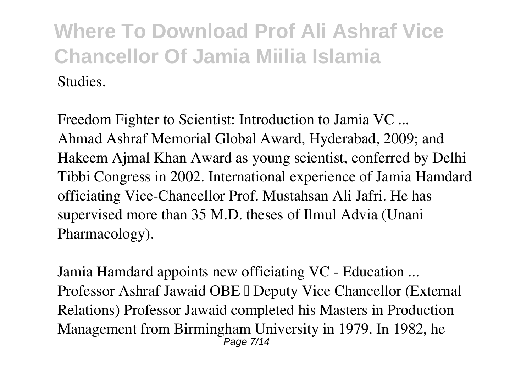**Freedom Fighter to Scientist: Introduction to Jamia VC ...** Ahmad Ashraf Memorial Global Award, Hyderabad, 2009; and Hakeem Ajmal Khan Award as young scientist, conferred by Delhi Tibbi Congress in 2002. International experience of Jamia Hamdard officiating Vice-Chancellor Prof. Mustahsan Ali Jafri. He has supervised more than 35 M.D. theses of Ilmul Advia (Unani Pharmacology).

**Jamia Hamdard appoints new officiating VC - Education ...** Professor Ashraf Jawaid OBE I Deputy Vice Chancellor (External Relations) Professor Jawaid completed his Masters in Production Management from Birmingham University in 1979. In 1982, he Page 7/14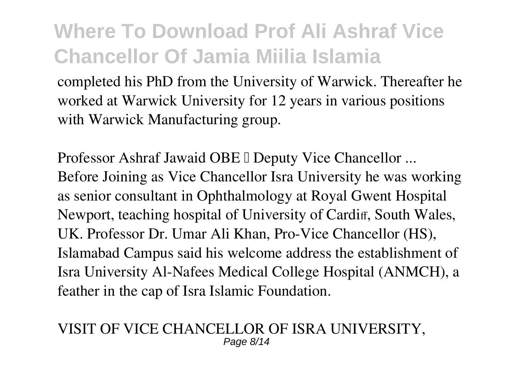completed his PhD from the University of Warwick. Thereafter he worked at Warwick University for 12 years in various positions with Warwick Manufacturing group.

**Professor Ashraf Jawaid OBE I Deputy Vice Chancellor ...** Before Joining as Vice Chancellor Isra University he was working as senior consultant in Ophthalmology at Royal Gwent Hospital Newport, teaching hospital of University of Cardiff, South Wales, UK. Professor Dr. Umar Ali Khan, Pro-Vice Chancellor (HS), Islamabad Campus said his welcome address the establishment of Isra University Al-Nafees Medical College Hospital (ANMCH), a feather in the cap of Isra Islamic Foundation.

#### **VISIT OF VICE CHANCELLOR OF ISRA UNIVERSITY,** Page 8/14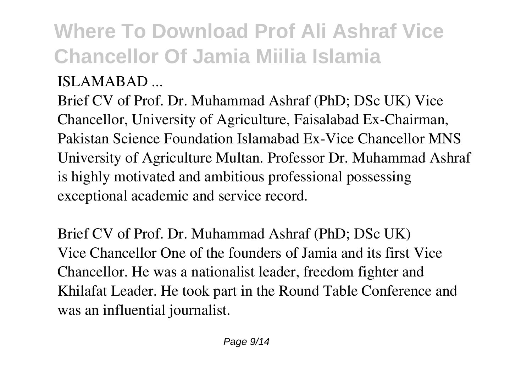### **ISLAMABAD ...**

Brief CV of Prof. Dr. Muhammad Ashraf (PhD; DSc UK) Vice Chancellor, University of Agriculture, Faisalabad Ex-Chairman, Pakistan Science Foundation Islamabad Ex-Vice Chancellor MNS University of Agriculture Multan. Professor Dr. Muhammad Ashraf is highly motivated and ambitious professional possessing exceptional academic and service record.

**Brief CV of Prof. Dr. Muhammad Ashraf (PhD; DSc UK)** Vice Chancellor One of the founders of Jamia and its first Vice Chancellor. He was a nationalist leader, freedom fighter and Khilafat Leader. He took part in the Round Table Conference and was an influential journalist.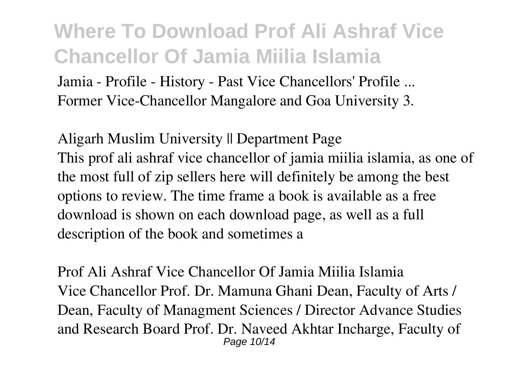**Jamia - Profile - History - Past Vice Chancellors' Profile ...** Former Vice-Chancellor Mangalore and Goa University 3.

**Aligarh Muslim University || Department Page** This prof ali ashraf vice chancellor of jamia miilia islamia, as one of the most full of zip sellers here will definitely be among the best options to review. The time frame a book is available as a free download is shown on each download page, as well as a full description of the book and sometimes a

**Prof Ali Ashraf Vice Chancellor Of Jamia Miilia Islamia** Vice Chancellor Prof. Dr. Mamuna Ghani Dean, Faculty of Arts / Dean, Faculty of Managment Sciences / Director Advance Studies and Research Board Prof. Dr. Naveed Akhtar Incharge, Faculty of Page 10/14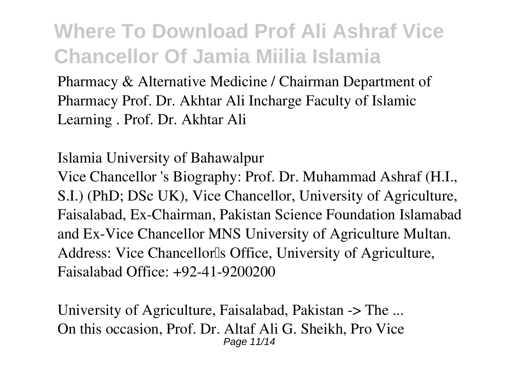Pharmacy & Alternative Medicine / Chairman Department of Pharmacy Prof. Dr. Akhtar Ali Incharge Faculty of Islamic Learning . Prof. Dr. Akhtar Ali

**Islamia University of Bahawalpur** Vice Chancellor 's Biography: Prof. Dr. Muhammad Ashraf (H.I., S.I.) (PhD; DSc UK), Vice Chancellor, University of Agriculture, Faisalabad, Ex-Chairman, Pakistan Science Foundation Islamabad and Ex-Vice Chancellor MNS University of Agriculture Multan. Address: Vice Chancellor<sup>Is</sup> Office, University of Agriculture, Faisalabad Office: +92-41-9200200

**University of Agriculture, Faisalabad, Pakistan -> The ...** On this occasion, Prof. Dr. Altaf Ali G. Sheikh, Pro Vice Page 11/14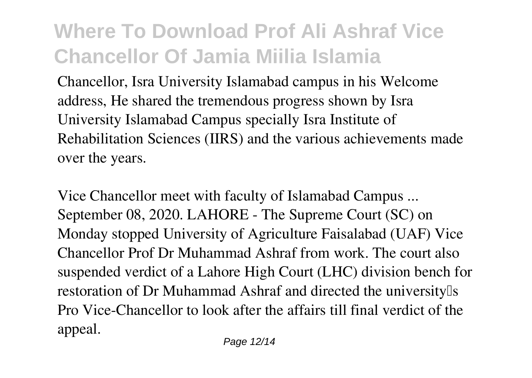Chancellor, Isra University Islamabad campus in his Welcome address, He shared the tremendous progress shown by Isra University Islamabad Campus specially Isra Institute of Rehabilitation Sciences (IIRS) and the various achievements made over the years.

**Vice Chancellor meet with faculty of Islamabad Campus ...** September 08, 2020. LAHORE - The Supreme Court (SC) on Monday stopped University of Agriculture Faisalabad (UAF) Vice Chancellor Prof Dr Muhammad Ashraf from work. The court also suspended verdict of a Lahore High Court (LHC) division bench for restoration of Dr Muhammad Ashraf and directed the universitylls Pro Vice-Chancellor to look after the affairs till final verdict of the appeal.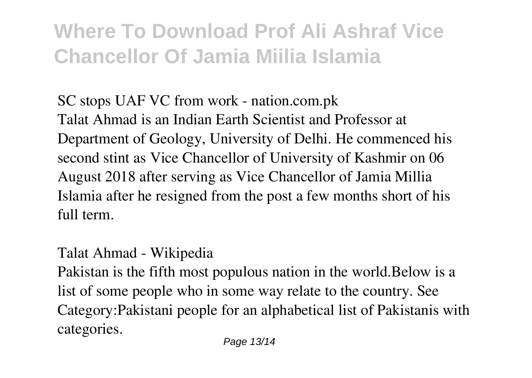**SC stops UAF VC from work - nation.com.pk** Talat Ahmad is an Indian Earth Scientist and Professor at Department of Geology, University of Delhi. He commenced his second stint as Vice Chancellor of University of Kashmir on 06 August 2018 after serving as Vice Chancellor of Jamia Millia Islamia after he resigned from the post a few months short of his full term.

#### **Talat Ahmad - Wikipedia**

Pakistan is the fifth most populous nation in the world.Below is a list of some people who in some way relate to the country. See Category:Pakistani people for an alphabetical list of Pakistanis with categories.